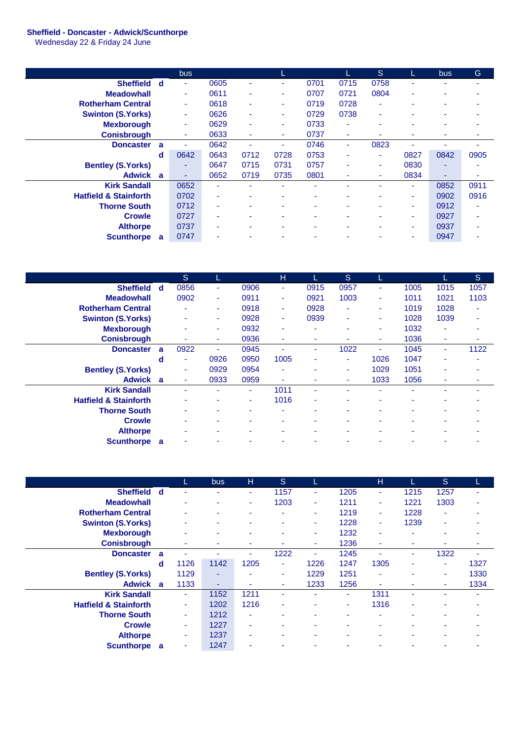## **Sheffield - Doncaster - Adwick/Scunthorpe**

Wednesday 22 & Friday 24 June

|                                  |     | <b>bus</b>     |                |      |                          |      |                          | S.             |                | <b>bus</b> | Ġ    |
|----------------------------------|-----|----------------|----------------|------|--------------------------|------|--------------------------|----------------|----------------|------------|------|
| <b>Sheffield</b>                 | ୍ d | $\blacksquare$ | 0605           | ۰.   | ٠                        | 0701 | 0715                     | 0758           |                |            |      |
| <b>Meadowhall</b>                |     | $\sim$         | 0611           | ۰    | ٠                        | 0707 | 0721                     | 0804           | ٠              |            |      |
| <b>Rotherham Central</b>         |     | ٠              | 0618           | ۰.   | ٠                        | 0719 | 0728                     | ٠              |                |            |      |
| <b>Swinton (S.Yorks)</b>         |     | ٠              | 0626           | ٠    | ٠                        | 0729 | 0738                     | ٠              |                | ۰          |      |
| <b>Mexborough</b>                |     | $\sim$         | 0629           | ٠    | ٠                        | 0733 | $\overline{\phantom{a}}$ | $\blacksquare$ |                |            |      |
| <b>Conisbrough</b>               |     |                | 0633           | ۰    | $\overline{\phantom{a}}$ | 0737 | ۰                        | ۰              |                |            |      |
| <b>Doncaster</b>                 | a   |                | 0642           |      | $\blacksquare$           | 0746 | ٠                        | 0823           |                |            |      |
|                                  | d   | 0642           | 0643           | 0712 | 0728                     | 0753 | $\blacksquare$           | ٠              | 0827           | 0842       | 0905 |
| <b>Bentley (S.Yorks)</b>         |     | ۰              | 0647           | 0715 | 0731                     | 0757 | $\overline{\phantom{a}}$ | ۰              | 0830           |            |      |
| <b>Adwick</b>                    | a   | ٠              | 0652           | 0719 | 0735                     | 0801 | ٠                        | ۰              | 0834           | ۰          | ۰    |
| <b>Kirk Sandall</b>              |     | 0652           |                |      |                          | ۰    |                          | ۰              | $\blacksquare$ | 0852       | 0911 |
| <b>Hatfield &amp; Stainforth</b> |     | 0702           | ٠              | ۰    | ۰                        | ۰    | ۰                        | ۰              | ٠              | 0902       | 0916 |
| <b>Thorne South</b>              |     | 0712           | ۰              |      |                          |      | ۰                        |                | ٠              | 0912       |      |
| <b>Crowle</b>                    |     | 0727           | ۰              | ٠    | $\overline{\phantom{a}}$ | ۰    | $\overline{\phantom{a}}$ | ۰              | ۰              | 0927       |      |
| <b>Althorpe</b>                  |     | 0737           | ۰              | ۰    |                          | ۰    | ۰                        | ۰              | ٠              | 0937       |      |
| <b>Scunthorpe</b>                | a   | 0747           | $\blacksquare$ |      |                          |      |                          |                |                | 0947       |      |

|                                  |          | <sub>S</sub>             |      |      | н                        |      | <sub>S</sub> |                |      |      | <sub>S</sub> |
|----------------------------------|----------|--------------------------|------|------|--------------------------|------|--------------|----------------|------|------|--------------|
| <b>Sheffield</b>                 | d        | 0856                     | ٠    | 0906 | ٠                        | 0915 | 0957         | ۰              | 1005 | 1015 | 1057         |
| <b>Meadowhall</b>                |          | 0902                     | ٠    | 0911 | ٠                        | 0921 | 1003         | ٠              | 1011 | 1021 | 1103         |
| <b>Rotherham Central</b>         |          |                          | ٠    | 0918 | $\overline{\phantom{0}}$ | 0928 | ٠            | ٠              | 1019 | 1028 | ۰            |
| <b>Swinton (S.Yorks)</b>         |          |                          | ۰    | 0928 | ٠                        | 0939 | ۰            | ۰              | 1028 | 1039 | ۰            |
| <b>Mexborough</b>                |          |                          | ۰    | 0932 | ۰                        | ۰    | ۰            | $\blacksquare$ | 1032 | ۰    |              |
| <b>Conisbrough</b>               |          |                          | ٠    | 0936 | ٠                        | ۰    | ۰            | ٠              | 1036 | ٠    | ٠            |
| <b>Doncaster</b>                 | a        | 0922                     | ٠    | 0945 |                          | ٠    | 1022         | ٠              | 1045 | ٠    | 1122         |
|                                  | d        | $\overline{\phantom{a}}$ | 0926 | 0950 | 1005                     | ۰    | ٠            | 1026           | 1047 | ۰    |              |
| <b>Bentley (S.Yorks)</b>         |          | $\overline{\phantom{a}}$ | 0929 | 0954 | ٠                        | ٠    | ٠            | 1029           | 1051 | ۰    |              |
| Adwick a                         |          | ٠                        | 0933 | 0959 | ٠                        | ۰    | ٠            | 1033           | 1056 | ۰    |              |
| <b>Kirk Sandall</b>              |          |                          |      | ۰.   | 1011                     | ٠    | ۰            |                |      |      |              |
| <b>Hatfield &amp; Stainforth</b> |          |                          |      | ۰    | 1016                     | ۰    | ۰            |                |      | ۰    |              |
| <b>Thorne South</b>              |          |                          |      | ۰    |                          | ۰    | ۰            |                |      | ۰    |              |
| <b>Crowle</b>                    |          | -                        |      | -    | ۰                        | ٠    | ۰            |                |      | -    |              |
| <b>Althorpe</b>                  |          |                          |      | ۰    |                          |      | ۰            |                |      |      |              |
| <b>Scunthorpe</b>                | <b>a</b> |                          |      |      |                          |      |              |                |      |      |              |

|                                  |    | L.   | <b>bus</b> | н                        | <sub>S</sub> | L              |      | H              |      | <sub>S</sub> |      |
|----------------------------------|----|------|------------|--------------------------|--------------|----------------|------|----------------|------|--------------|------|
| <b>Sheffield</b>                 | d  |      | ۰          | ۰                        | 1157         | ٠              | 1205 | ۰              | 1215 | 1257         |      |
| <b>Meadowhall</b>                |    |      | ۰          | ٠                        | 1203         | ٠              | 1211 | ٠              | 1221 | 1303         |      |
| <b>Rotherham Central</b>         |    |      |            | ٠                        | ٠            | ٠              | 1219 | ٠              | 1228 | ٠            |      |
| <b>Swinton (S.Yorks)</b>         |    |      | ۰          | ٠                        | ۰            | $\sim$         | 1228 | ٠              | 1239 | ٠            |      |
| <b>Mexborough</b>                |    |      | ٠          | $\overline{\phantom{a}}$ | ٠            | ٠              | 1232 | ٠              | ٠    | ٠            |      |
| <b>Conisbrough</b>               |    |      | ۰          | ٠                        | ۰            | ۰              | 1236 | ۰              | ۰    | ۰            |      |
| <b>Doncaster</b>                 | -a |      |            | ۰                        | 1222         | ٠              | 1245 |                | ٠    | 1322         |      |
|                                  | d  | 1126 | 1142       | 1205                     | ٠            | 1226           | 1247 | 1305           | ۰    | ٠            | 1327 |
| <b>Bentley (S.Yorks)</b>         |    | 1129 | ۰          | ٠                        | ٠            | 1229           | 1251 | ٠              |      | ٠            | 1330 |
| Adwick a                         |    | 1133 | ٠          | ۰                        | ۰            | 1233           | 1256 | ۰              | ۰    | ٠            | 1334 |
| <b>Kirk Sandall</b>              |    | ٠    | 1152       | 1211                     | ۰            | ٠              | ٠    | 1311           |      | ۰            |      |
| <b>Hatfield &amp; Stainforth</b> |    | ٠    | 1202       | 1216                     | ٠            | ٠              | ٠    | 1316           | ۰    | ٠            |      |
| <b>Thorne South</b>              |    | ٠    | 1212       | $\blacksquare$           | ۰            | $\blacksquare$ | ۰    |                |      |              |      |
| <b>Crowle</b>                    |    | ٠    | 1227       | ٠                        | ۰            | ٠              | ٠    | $\blacksquare$ |      | ٠            |      |
| <b>Althorpe</b>                  |    | ۰    | 1237       | ٠                        | ۰            | ٠              | ٠    |                |      | ٠            |      |
| <b>Scunthorpe</b>                | a  |      | 1247       |                          |              |                |      |                |      |              |      |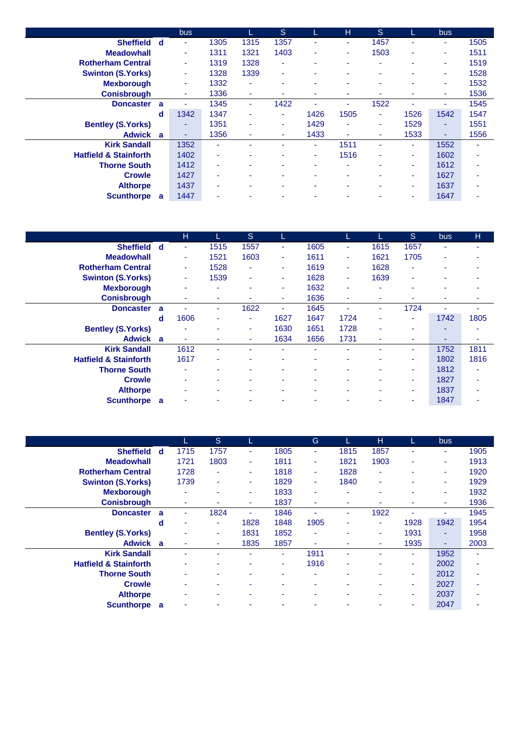|                                  |              | <b>bus</b> |                          | L.   | S    | L    | н              | S    |        | bus  |      |
|----------------------------------|--------------|------------|--------------------------|------|------|------|----------------|------|--------|------|------|
| <b>Sheffield</b>                 | - d          | ٠          | 1305                     | 1315 | 1357 | ٠    | ٠              | 1457 |        | ٠    | 1505 |
| <b>Meadowhall</b>                |              | ٠          | 1311                     | 1321 | 1403 | ٠    | ٠              | 1503 | ۰      | ٠    | 1511 |
| <b>Rotherham Central</b>         |              | ۰          | 1319                     | 1328 | ٠    | ٠    | ۰              |      | ۰      | ٠    | 1519 |
| <b>Swinton (S.Yorks)</b>         |              | ۰          | 1328                     | 1339 | ٠    | ٠    | ۰              |      |        | ۰    | 1528 |
| <b>Mexborough</b>                |              | ۰          | 1332                     | ٠    | ٠    | ٠    | ٠              |      |        | ۰    | 1532 |
| <b>Conisbrough</b>               |              | ۰          | 1336                     | ٠    | ٠    | ٠    | ۰              |      |        | ۰    | 1536 |
| <b>Doncaster</b>                 | $\mathbf{a}$ | ٠          | 1345                     | ٠    | 1422 | ٠    | ٠              | 1522 |        | ٠    | 1545 |
|                                  | d            | 1342       | 1347                     | ٠    | ٠    | 1426 | 1505           | ٠    | 1526   | 1542 | 1547 |
| <b>Bentley (S.Yorks)</b>         |              | ۰          | 1351                     | ٠    | ٠    | 1429 | $\blacksquare$ | ٠    | 1529   | ٠    | 1551 |
| Adwick a                         |              | ٠          | 1356                     | ٠    | ٠    | 1433 | ٠              |      | 1533   | ٠    | 1556 |
| <b>Kirk Sandall</b>              |              | 1352       | ۰                        | ۰    | ۰    | ٠    | 1511           | ٠    | $\sim$ | 1552 | ٠    |
| <b>Hatfield &amp; Stainforth</b> |              | 1402       | ٠                        | -    | ٠    | ٠    | 1516           |      | ۰.     | 1602 | ۰    |
| <b>Thorne South</b>              |              | 1412       | ٠                        | ٠    | ٠    | ٠    | ٠              | -    | ۰.     | 1612 |      |
| <b>Crowle</b>                    |              | 1427       | $\overline{\phantom{a}}$ | ۰    | ٠    | ٠    | ۰              |      | ٠      | 1627 |      |
| <b>Althorpe</b>                  |              | 1437       | ٠                        | ۰    | ٠    | ٠    | ٠              |      | ۰      | 1637 |      |
| <b>Scunthorpe</b>                | <b>a</b>     | 1447       |                          |      |      |      |                |      |        | 1647 |      |

|                                  |          | н                        |      | S.   |                          |      | L    |                          | <sub>S</sub>             | <b>bus</b> | н    |
|----------------------------------|----------|--------------------------|------|------|--------------------------|------|------|--------------------------|--------------------------|------------|------|
| <b>Sheffield</b>                 | d        | ٠                        | 1515 | 1557 | ÷                        | 1605 | ٠    | 1615                     | 1657                     | ۰          | ۰    |
| <b>Meadowhall</b>                |          | ٠                        | 1521 | 1603 | $\blacksquare$           | 1611 | ٠    | 1621                     | 1705                     | ٠          |      |
| <b>Rotherham Central</b>         |          | ٠                        | 1528 | ٠    | ٠                        | 1619 | ٠    | 1628                     | ٠                        |            |      |
| <b>Swinton (S.Yorks)</b>         |          | ٠                        | 1539 | ٠    | ٠                        | 1628 | ٠    | 1639                     | ۰                        |            |      |
| <b>Mexborough</b>                |          | $\sim$                   | ٠    | ۰    | ٠                        | 1632 | ٠    | $\overline{\phantom{a}}$ | $\overline{\phantom{a}}$ | ٠          |      |
| <b>Conisbrough</b>               |          | $\overline{\phantom{a}}$ | ٠    | ۰    | ٠                        | 1636 | ٠    | $\blacksquare$           |                          | ٠          |      |
| <b>Doncaster</b>                 | a        |                          | ۰    | 1622 | ٠                        | 1645 | ۰    | ٠                        | 1724                     |            | -    |
|                                  | d        | 1606                     | ٠    | ٠    | 1627                     | 1647 | 1724 | $\overline{\phantom{a}}$ | ٠                        | 1742       | 1805 |
| <b>Bentley (S.Yorks)</b>         |          | $\sim$                   |      | ٠    | 1630                     | 1651 | 1728 | ٠                        | $\overline{\phantom{a}}$ | ۰          |      |
| <b>Adwick</b>                    | <b>a</b> | ٠                        | ۰    | ۰.   | 1634                     | 1656 | 1731 | ٠                        | ٠                        | ۰          |      |
| <b>Kirk Sandall</b>              |          | 1612                     | ٠    | ۰    |                          | ٠    | ۰    |                          | ۰                        | 1752       | 1811 |
| <b>Hatfield &amp; Stainforth</b> |          | 1617                     | ۰    | ۰    | ۰                        | ٠    | ٠    |                          | ۰.                       | 1802       | 1816 |
| <b>Thorne South</b>              |          | $\overline{\phantom{a}}$ |      | -    | ۰                        |      | ۰    |                          | ٠                        | 1812       | ۰    |
| <b>Crowle</b>                    |          | $\overline{\phantom{a}}$ |      | ۰    | $\overline{\phantom{a}}$ | ۰    | ۰    |                          | ۰                        | 1827       | ۰    |
| <b>Althorpe</b>                  |          |                          |      | ۰    | ۰                        | ٠    | ۰    |                          | ۰.                       | 1837       |      |
| <b>Scunthorpe</b>                | a        |                          |      |      |                          |      |      |                          |                          | 1847       |      |

|                                  |     | L.   | S    | L.   |      | G                        |      | н              | L.   | <b>bus</b> |      |
|----------------------------------|-----|------|------|------|------|--------------------------|------|----------------|------|------------|------|
| <b>Sheffield</b>                 | - d | 1715 | 1757 | ٠    | 1805 | ٠                        | 1815 | 1857           | ٠    | ÷          | 1905 |
| <b>Meadowhall</b>                |     | 1721 | 1803 | ٠    | 1811 | ٠                        | 1821 | 1903           | ۰    | ٠          | 1913 |
| <b>Rotherham Central</b>         |     | 1728 | ٠    | ۰    | 1818 | ٠                        | 1828 | ٠              |      | ٠          | 1920 |
| <b>Swinton (S.Yorks)</b>         |     | 1739 | ٠    | ۰    | 1829 | $\blacksquare$           | 1840 | ٠              |      | ٠          | 1929 |
| <b>Mexborough</b>                |     |      | ٠    | ۰    | 1833 | ٠                        | ۰    | $\blacksquare$ |      | ٠          | 1932 |
| <b>Conisbrough</b>               |     | ۰    | ۰    | ۰    | 1837 | ۰                        | ۰    | ٠              |      | ۰          | 1936 |
| <b>Doncaster</b>                 | a   |      | 1824 | ٠    | 1846 | ٠                        | ٠    | 1922           |      |            | 1945 |
|                                  | d   | ۰    | ٠    | 1828 | 1848 | 1905                     | ۰    | ٠              | 1928 | 1942       | 1954 |
| <b>Bentley (S.Yorks)</b>         |     |      | ۰    | 1831 | 1852 | ٠                        | ۰    | ٠              | 1931 | ۰          | 1958 |
| Adwick a                         |     | ۰    | ۰    | 1835 | 1857 | ٠                        | ۰    | ۰              | 1935 | ٠          | 2003 |
| <b>Kirk Sandall</b>              |     |      |      |      | ٠    | 1911                     | ۰    |                | ۰.   | 1952       |      |
| <b>Hatfield &amp; Stainforth</b> |     |      |      |      | ٠    | 1916                     | ۰    |                | ۰    | 2002       |      |
| <b>Thorne South</b>              |     |      |      |      | ٠    | ٠                        | ۰    |                | ۰.   | 2012       |      |
| <b>Crowle</b>                    |     |      |      |      |      | $\overline{\phantom{a}}$ | ۰    |                |      | 2027       |      |
| <b>Althorpe</b>                  |     |      | ۰    |      | ٠    | ۰                        | ٠    | <b>.</b>       | ٠    | 2037       |      |
| <b>Scunthorpe</b>                | a   |      |      |      | ۰    | ۰                        | ۰    |                |      | 2047       |      |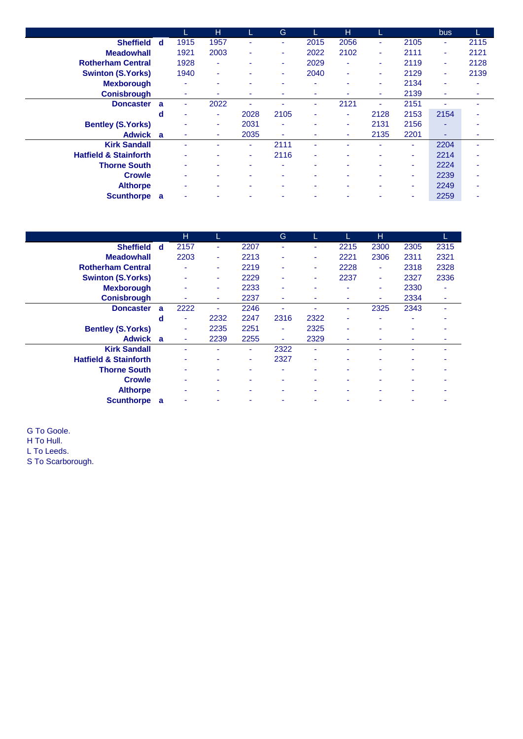|                                  |   |      | н    |                          | G    | L              | н    |      |      | <b>bus</b> |      |
|----------------------------------|---|------|------|--------------------------|------|----------------|------|------|------|------------|------|
| Sheffield d                      |   | 1915 | 1957 | ٠                        | ٠    | 2015           | 2056 | ۰.   | 2105 | ٠          | 2115 |
| <b>Meadowhall</b>                |   | 1921 | 2003 | ۰                        | ٠    | 2022           | 2102 | ٠    | 2111 | ٠          | 2121 |
| <b>Rotherham Central</b>         |   | 1928 | ٠    | ٠                        | ٠    | 2029           | ٠    | ٠    | 2119 | ٠          | 2128 |
| <b>Swinton (S.Yorks)</b>         |   | 1940 | ÷    |                          | ٠    | 2040           | ۰    | ۰    | 2129 | ٠          | 2139 |
| <b>Mexborough</b>                |   | ۰    | ۰    |                          | ٠    | $\blacksquare$ | ۰    | ۰    | 2134 | ۰          |      |
| <b>Conisbrough</b>               |   |      | ٠    | ۰                        |      | ۰              | ٠    | ۰    | 2139 | ٠          |      |
| <b>Doncaster</b>                 | a |      | 2022 | ٠                        |      | ٠              | 2121 | ٠    | 2151 | ۰          |      |
|                                  | d | -    | ٠    | 2028                     | 2105 | ۰              | ٠    | 2128 | 2153 | 2154       |      |
| <b>Bentley (S.Yorks)</b>         |   |      | ۰.   | 2031                     | ۰    | ٠              | ٠    | 2131 | 2156 | ٠          |      |
| Adwick a                         |   |      | ٠    | 2035                     | ٠    |                | ۰    | 2135 | 2201 | ۰          |      |
| <b>Kirk Sandall</b>              |   |      |      | ٠                        | 2111 | ٠              |      |      | ٠    | 2204       |      |
| <b>Hatfield &amp; Stainforth</b> |   |      | ۰    | ٠                        | 2116 | $\blacksquare$ | ٠    |      | ۰.   | 2214       |      |
| <b>Thorne South</b>              |   |      | ۰    | $\overline{\phantom{0}}$ | ٠    | ۰              | ٠    | ۰    | ۰.   | 2224       |      |
| <b>Crowle</b>                    |   |      | ۰    | ۰                        | ٠    | ۰              | ۰    |      | ۰.   | 2239       |      |
| <b>Althorpe</b>                  |   |      | ۰    |                          | ۰    | ۰              | ٠    |      | ۰    | 2249       |      |
| Scunthorpe a                     |   |      |      |                          |      |                |      |      |      | 2259       |      |

|                                  |   | н    |      |      | G    |                |      | н    |      | L.                       |
|----------------------------------|---|------|------|------|------|----------------|------|------|------|--------------------------|
| <b>Sheffield</b>                 | d | 2157 | ٠    | 2207 | ۰    | ۰              | 2215 | 2300 | 2305 | 2315                     |
| <b>Meadowhall</b>                |   | 2203 | ٠    | 2213 | ۰    | ۰              | 2221 | 2306 | 2311 | 2321                     |
| <b>Rotherham Central</b>         |   |      | ٠    | 2219 | ۰    | ٠              | 2228 | ٠    | 2318 | 2328                     |
| <b>Swinton (S.Yorks)</b>         |   | ۰    | ۰    | 2229 | ۰    | ٠              | 2237 | ٠    | 2327 | 2336                     |
| <b>Mexborough</b>                |   |      |      | 2233 | ٠    | $\blacksquare$ | ۰    | ۰    | 2330 | $\overline{\phantom{a}}$ |
| <b>Conisbrough</b>               |   | ٠    | ۰    | 2237 | ٠    | ۰              | ۰    | ۰    | 2334 | ٠                        |
| <b>Doncaster</b>                 | a | 2222 |      | 2246 |      |                |      | 2325 | 2343 |                          |
|                                  | d | ٠    | 2232 | 2247 | 2316 | 2322           |      |      | ٠    |                          |
| <b>Bentley (S.Yorks)</b>         |   | ۰    | 2235 | 2251 | ۰    | 2325           | ۰    |      |      |                          |
| Adwick a                         |   | ٠    | 2239 | 2255 | ٠    | 2329           | ۰    | -    |      |                          |
| <b>Kirk Sandall</b>              |   | ۰    |      | ٠    | 2322 | ٠              |      |      |      |                          |
| <b>Hatfield &amp; Stainforth</b> |   | ۰    |      | ٠    | 2327 | ۰              | ۰    | ۰    |      |                          |
| <b>Thorne South</b>              |   |      |      | ۰    | ٠    | ۰              |      |      |      |                          |
| <b>Crowle</b>                    |   | ۰    |      | ۰    | ۰    | ۰              |      |      |      |                          |
| <b>Althorpe</b>                  |   |      |      | ۰    | ۰    | ۰              |      |      |      |                          |
| <b>Scunthorpe</b>                | a | ۰    |      | ۰    |      |                |      |      |      |                          |

G To Goole. H To Hull. L To Leeds. S To Scarborough.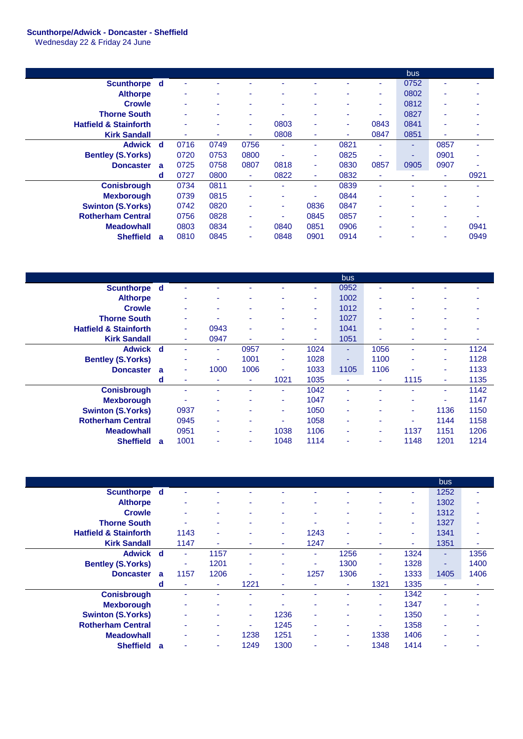## **Scunthorpe/Adwick - Doncaster - Sheffield**

Wednesday 22 & Friday 24 June

|                                  |              |      |      |      |                          |      |      |                | <b>bus</b> |      |      |
|----------------------------------|--------------|------|------|------|--------------------------|------|------|----------------|------------|------|------|
| Scunthorpe d                     |              |      |      |      |                          |      |      |                | 0752       |      |      |
| <b>Althorpe</b>                  |              |      |      |      |                          |      |      | ٠              | 0802       |      |      |
| <b>Crowle</b>                    |              |      |      | -    | $\overline{\phantom{a}}$ | ۰    | ۰    | ۰              | 0812       |      |      |
| <b>Thorne South</b>              |              |      |      | ٠    |                          | ۰    | ٠    | ۰              | 0827       | ٠    |      |
| <b>Hatfield &amp; Stainforth</b> |              |      |      | ۰    | 0803                     | ۰    | ٠    | 0843           | 0841       |      |      |
| <b>Kirk Sandall</b>              |              |      |      | ٠    | 0808                     | ۰    | ٠    | 0847           | 0851       |      |      |
| Adwick d                         |              | 0716 | 0749 | 0756 | ٠                        | ٠    | 0821 | ٠              | ٠          | 0857 |      |
| <b>Bentley (S.Yorks)</b>         |              | 0720 | 0753 | 0800 | ۰                        | ۰    | 0825 | ٠              | -          | 0901 |      |
| <b>Doncaster</b>                 | $\mathbf{a}$ | 0725 | 0758 | 0807 | 0818                     | ٠    | 0830 | 0857           | 0905       | 0907 |      |
|                                  | d            | 0727 | 0800 | ٠    | 0822                     | ۰    | 0832 | ٠              |            |      | 0921 |
| <b>Conisbrough</b>               |              | 0734 | 0811 | ۰    |                          | ۰    | 0839 | $\blacksquare$ |            |      |      |
| <b>Mexborough</b>                |              | 0739 | 0815 | ۰    | $\overline{\phantom{a}}$ |      | 0844 | ٠              |            |      |      |
| <b>Swinton (S.Yorks)</b>         |              | 0742 | 0820 | ٠    | ٠                        | 0836 | 0847 | $\blacksquare$ |            |      |      |
| <b>Rotherham Central</b>         |              | 0756 | 0828 | ۰    | $\sim$                   | 0845 | 0857 | ٠              | ۰.         | ۰    |      |
| <b>Meadowhall</b>                |              | 0803 | 0834 | ٠    | 0840                     | 0851 | 0906 | ٠              |            | ٠    | 0941 |
| <b>Sheffield</b>                 | $\mathbf{a}$ | 0810 | 0845 | ۰    | 0848                     | 0901 | 0914 | $\blacksquare$ |            |      | 0949 |

|                                  |              |                          |      |      |        |      | bus  |                |                          |      |      |
|----------------------------------|--------------|--------------------------|------|------|--------|------|------|----------------|--------------------------|------|------|
| Scunthorpe d                     |              | $\overline{\phantom{a}}$ |      |      |        | ۰.   | 0952 |                |                          |      |      |
| <b>Althorpe</b>                  |              | $\overline{\phantom{a}}$ | ۰    | ۰    | ۰      | ۰.   | 1002 | ٠              | ۰                        | ٠    | -    |
| <b>Crowle</b>                    |              | $\overline{\phantom{a}}$ | ۰    | ۰    | ۰      | ۰    | 1012 | ٠              | ۰                        | ٠    |      |
| <b>Thorne South</b>              |              | ٠                        | -    | ۰    | ۰      | ٠    | 1027 | ٠              | $\overline{\phantom{0}}$ | ٠    |      |
| <b>Hatfield &amp; Stainforth</b> |              | ٠                        | 0943 | ٠    | ۰      | ٠    | 1041 | ٠              |                          | ٠    |      |
| <b>Kirk Sandall</b>              |              | ٠                        | 0947 | ۰    | ۰      | ٠    | 1051 | $\blacksquare$ |                          | ٠    | ٠    |
| <b>Adwick</b>                    | <sub>d</sub> | $\sim$                   | ٠    | 0957 | $\sim$ | 1024 | ٠    | 1056           |                          | ٠    | 1124 |
| <b>Bentley (S.Yorks)</b>         |              | $\overline{\phantom{a}}$ | ۰.   | 1001 | $\sim$ | 1028 | ٠    | 1100           | ٠                        | ٠    | 1128 |
| <b>Doncaster</b>                 | a            | $\sim$                   | 1000 | 1006 | $\sim$ | 1033 | 1105 | 1106           | ٠                        | ۰    | 1133 |
|                                  | d            | ٠                        | ۰    | ٠    | 1021   | 1035 | ٠    | ٠              | 1115                     | ٠    | 1135 |
| <b>Conisbrough</b>               |              | $\overline{\phantom{a}}$ |      | ٠    | ٠      | 1042 | ۰    |                |                          | ٠    | 1142 |
| <b>Mexborough</b>                |              | $\overline{\phantom{a}}$ | ٠    |      | ٠      | 1047 | ٠    |                |                          | ۰    | 1147 |
| <b>Swinton (S.Yorks)</b>         |              | 0937                     | ٠    | ۰    | ٠      | 1050 | ٠    | -              | ۰.                       | 1136 | 1150 |
| <b>Rotherham Central</b>         |              | 0945                     | ۰    |      | ٠      | 1058 | ۰    | $\blacksquare$ |                          | 1144 | 1158 |
| <b>Meadowhall</b>                |              | 0951                     | ٠    | ۰.   | 1038   | 1106 | ٠    | ۰              | 1137                     | 1151 | 1206 |
| <b>Sheffield</b>                 | a            | 1001                     | ٠    | ۰.   | 1048   | 1114 | ٠    | ٠              | 1148                     | 1201 | 1214 |

|                                  |   |      |      |      |      |                          |                          |                          |      | bus  |                |
|----------------------------------|---|------|------|------|------|--------------------------|--------------------------|--------------------------|------|------|----------------|
| Scunthorpe d                     |   |      |      |      |      |                          |                          |                          | ۰    | 1252 |                |
| <b>Althorpe</b>                  |   | ۰    | ۰    | ۰    | ۰    | ۰                        | ٠                        |                          | ۰.   | 1302 | $\blacksquare$ |
| <b>Crowle</b>                    |   | ٠    |      |      | ۰    | $\overline{\phantom{a}}$ | $\overline{\phantom{a}}$ |                          | ۰.   | 1312 |                |
| <b>Thorne South</b>              |   |      | ۰    | ۰    | ۰    | ۰                        | ٠                        |                          | ۰.   | 1327 |                |
| <b>Hatfield &amp; Stainforth</b> |   | 1143 | ٠    | ۰    | ٠    | 1243                     | ٠                        |                          | ٠    | 1341 |                |
| <b>Kirk Sandall</b>              |   | 1147 | ۰    |      | ٠    | 1247                     | ٠                        |                          | ۰    | 1351 |                |
| Adwick d                         |   | ÷.   | 1157 |      |      | ÷                        | 1256                     | ٠                        | 1324 | ٠    | 1356           |
| <b>Bentley (S.Yorks)</b>         |   | ٠    | 1201 | ۰    |      | ۰                        | 1300                     | ٠                        | 1328 | ۰    | 1400           |
| <b>Doncaster</b>                 | a | 1157 | 1206 | ۰    | ٠    | 1257                     | 1306                     | $\overline{\phantom{a}}$ | 1333 | 1405 | 1406           |
|                                  | d | ٠    | ۰    | 1221 | ۰    | ۰                        | ٠                        | 1321                     | 1335 | ۰    | ٠              |
| <b>Conisbrough</b>               |   |      |      |      |      |                          | ۰                        | $\overline{\phantom{a}}$ | 1342 | ۰    |                |
| <b>Mexborough</b>                |   |      | ۰    | ۰    |      | $\overline{\phantom{a}}$ | ۰                        | $\overline{\phantom{a}}$ | 1347 | ۰    |                |
| <b>Swinton (S.Yorks)</b>         |   |      |      | ۰.   | 1236 | ۰                        | ۰                        |                          | 1350 | ۰    |                |
| <b>Rotherham Central</b>         |   |      | ۰    | ۰    | 1245 | ٠                        | ۰                        | ۰                        | 1358 | ۰    |                |
| <b>Meadowhall</b>                |   |      | ۰    | 1238 | 1251 | ٠                        | ٠                        | 1338                     | 1406 | ۰    |                |
| <b>Sheffield</b>                 | a |      | ۰    | 1249 | 1300 | ۰                        | ٠                        | 1348                     | 1414 |      |                |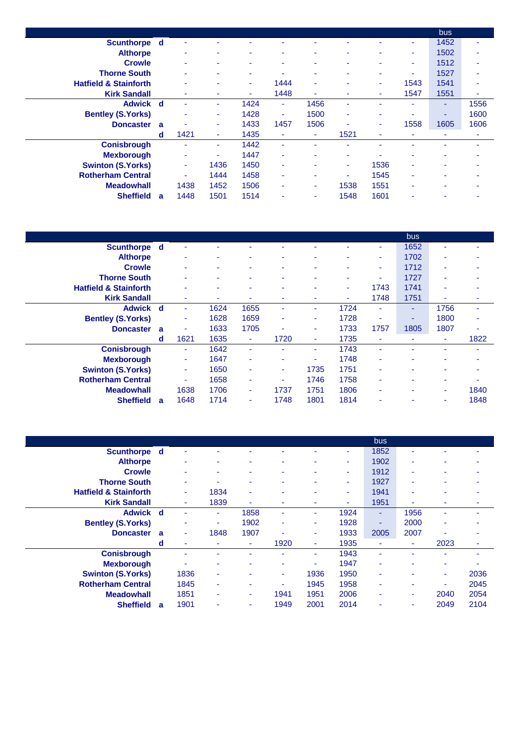|                                  |   |      |      |                          |                |      |      |      |      | <b>bus</b>               |      |
|----------------------------------|---|------|------|--------------------------|----------------|------|------|------|------|--------------------------|------|
| Scunthorpe d                     |   |      |      |                          |                |      |      |      | ۰    | 1452                     |      |
| <b>Althorpe</b>                  |   | -    | ۰    | ٠                        | ۰              | ۰    | ٠    | ٠    | ۰.   | 1502                     | ۰    |
| <b>Crowle</b>                    |   | ۰    | ۰    | ٠                        | ۰              | ٠    | ٠    | ۰    | ٠    | 1512                     | ۰    |
| <b>Thorne South</b>              |   |      | ۰    | $\overline{\phantom{a}}$ | ۰              | ۰    | ۰    | ٠    | ۰.   | 1527                     |      |
| <b>Hatfield &amp; Stainforth</b> |   |      | ۰    | ٠                        | 1444           | ٠    | ۰    | ٠    | 1543 | 1541                     |      |
| <b>Kirk Sandall</b>              |   |      | ۰    | ٠                        | 1448           | ٠    | ٠    | ۰    | 1547 | 1551                     |      |
| Adwick d                         |   |      | ٠    | 1424                     | ٠              | 1456 | ۰    |      |      | ۰                        | 1556 |
| <b>Bentley (S.Yorks)</b>         |   | -    | ۰.   | 1428                     | $\blacksquare$ | 1500 | ٠    | ٠    | -    | $\overline{\phantom{a}}$ | 1600 |
| <b>Doncaster</b>                 | a |      | ٠    | 1433                     | 1457           | 1506 | ٠    | ٠    | 1558 | 1605                     | 1606 |
|                                  | d | 1421 | ٠    | 1435                     | ٠              | ٠    | 1521 | ۰    | ٠    |                          |      |
| <b>Conisbrough</b>               |   |      | ٠    | 1442                     | ۰              | ٠    |      |      |      |                          |      |
| <b>Mexborough</b>                |   | ۰    | ۰    | 1447                     | ٠              | ٠    | ۰    |      |      |                          |      |
| <b>Swinton (S.Yorks)</b>         |   | ٠    | 1436 | 1450                     | ٠              | ٠    | ٠    | 1536 | ٠    | ٠                        |      |
| <b>Rotherham Central</b>         |   | ٠    | 1444 | 1458                     | ٠              | ٠    | ۰    | 1545 | ٠    | ٠                        |      |
| <b>Meadowhall</b>                |   | 1438 | 1452 | 1506                     | ٠              | ۰    | 1538 | 1551 | ٠    | ۰                        |      |
| <b>Sheffield</b>                 | a | 1448 | 1501 | 1514                     | ۰              | ۰    | 1548 | 1601 | ۰    |                          |      |

|                                  |   |        |      |      |      |                |      |      | bus  |                          |      |
|----------------------------------|---|--------|------|------|------|----------------|------|------|------|--------------------------|------|
| Scunthorpe d                     |   |        |      |      |      | ٠              | ۰    | ۰    | 1652 | ۰                        | ۰    |
| <b>Althorpe</b>                  |   |        | ٠    |      | ٠    | $\blacksquare$ | ۰    | ۰    | 1702 | ۰                        |      |
| <b>Crowle</b>                    |   |        | ۰    |      | ٠    | ٠              | ۰    | ٠    | 1712 | ٠                        |      |
| <b>Thorne South</b>              |   |        | ۰    |      | ٠    | ٠              | ۰    | ٠    | 1727 | ٠                        |      |
| <b>Hatfield &amp; Stainforth</b> |   |        |      |      | ٠    | ٠              | ٠    | 1743 | 1741 |                          |      |
| <b>Kirk Sandall</b>              |   | ٠      | ٠    |      | ٠    | ٠              | ٠    | 1748 | 1751 | $\overline{\phantom{a}}$ | ۰    |
| Adwick d                         |   | ۰      | 1624 | 1655 | ٠    | ٠              | 1724 | ۰    | ۰.   | 1756                     | ۰    |
| <b>Bentley (S.Yorks)</b>         |   | ۰      | 1628 | 1659 | ۰    | ٠              | 1728 | ٠    |      | 1800                     |      |
| <b>Doncaster</b>                 | a | ۰      | 1633 | 1705 | ۰    | ۰              | 1733 | 1757 | 1805 | 1807                     | ۰    |
|                                  | d | 1621   | 1635 | ۰    | 1720 | ٠              | 1735 | ۰    |      | $\overline{\phantom{a}}$ | 1822 |
| <b>Conisbrough</b>               |   | $\sim$ | 1642 | ٠    | ۰    | ٠              | 1743 | ٠    |      |                          | ۰    |
| <b>Mexborough</b>                |   | ۰      | 1647 | ٠    | ۰    | ٠              | 1748 | ۰    |      |                          |      |
| <b>Swinton (S.Yorks)</b>         |   | ٠      | 1650 |      | ۰    | 1735           | 1751 | ۰    |      |                          |      |
| <b>Rotherham Central</b>         |   | ۰      | 1658 | ٠    | ۰    | 1746           | 1758 | ۰    |      | $\overline{\phantom{a}}$ |      |
| <b>Meadowhall</b>                |   | 1638   | 1706 | ٠    | 1737 | 1751           | 1806 | ٠    |      | ۰                        | 1840 |
| <b>Sheffield</b>                 | a | 1648   | 1714 | ٠    | 1748 | 1801           | 1814 | ٠    |      |                          | 1848 |

|                                  |          |      |      |                          |      |      |                          | bus  |      |                          |      |
|----------------------------------|----------|------|------|--------------------------|------|------|--------------------------|------|------|--------------------------|------|
| Scunthorpe d                     |          |      |      |                          |      | ۰    | ٠                        | 1852 |      |                          | ۰    |
| <b>Althorpe</b>                  |          | ۰    | ۰    | $\overline{\phantom{a}}$ | ٠    | ۰    | ٠                        | 1902 | ۰    | $\overline{\phantom{a}}$ |      |
| <b>Crowle</b>                    |          |      | ۰    |                          | ۰    | ۰    | ۰                        | 1912 | ۰    | ۰                        |      |
| <b>Thorne South</b>              |          | ٠    | ۰    | ٠                        | ٠    | ۰    | $\overline{\phantom{a}}$ | 1927 | ٠    | $\overline{\phantom{a}}$ | ۰    |
| <b>Hatfield &amp; Stainforth</b> |          | ٠    | 1834 | ٠                        |      | ۰    | $\overline{\phantom{a}}$ | 1941 |      |                          |      |
| <b>Kirk Sandall</b>              |          | ٠    | 1839 | ٠                        | ۰    | ۰    | ۰                        | 1951 |      | $\overline{\phantom{a}}$ |      |
| Adwick d                         |          |      | ٠    | 1858                     | ٠    | ٠    | 1924                     | ٠    | 1956 | $\overline{\phantom{a}}$ | ٠    |
| <b>Bentley (S.Yorks)</b>         |          |      | ۰    | 1902                     | ٠    | ۰    | 1928                     | ۰    | 2000 | $\overline{\phantom{a}}$ |      |
| <b>Doncaster</b>                 | <b>a</b> | ٠    | 1848 | 1907                     |      | ۰    | 1933                     | 2005 | 2007 |                          |      |
|                                  | d        |      | ۰    | ٠                        | 1920 | ٠    | 1935                     | ٠    | ۰    | 2023                     | ۰    |
| <b>Conisbrough</b>               |          |      |      | ۰                        |      | ٠    | 1943                     | ۰    |      | ۰                        | ٠    |
| <b>Mexborough</b>                |          |      | ۰    | ۰                        | ٠    | ٠    | 1947                     | ۰    |      | ٠                        |      |
| <b>Swinton (S.Yorks)</b>         |          | 1836 | ۰    |                          | ٠    | 1936 | 1950                     | ۰    |      | $\overline{\phantom{a}}$ | 2036 |
| <b>Rotherham Central</b>         |          | 1845 | ۰    | ٠                        | ٠    | 1945 | 1958                     | ۰    |      | $\overline{\phantom{a}}$ | 2045 |
| <b>Meadowhall</b>                |          | 1851 | ۰    | ٠                        | 1941 | 1951 | 2006                     | ۰    | ۰    | 2040                     | 2054 |
| <b>Sheffield</b>                 | a        | 1901 | ۰    | ٠                        | 1949 | 2001 | 2014                     | ۰    | ۰    | 2049                     | 2104 |